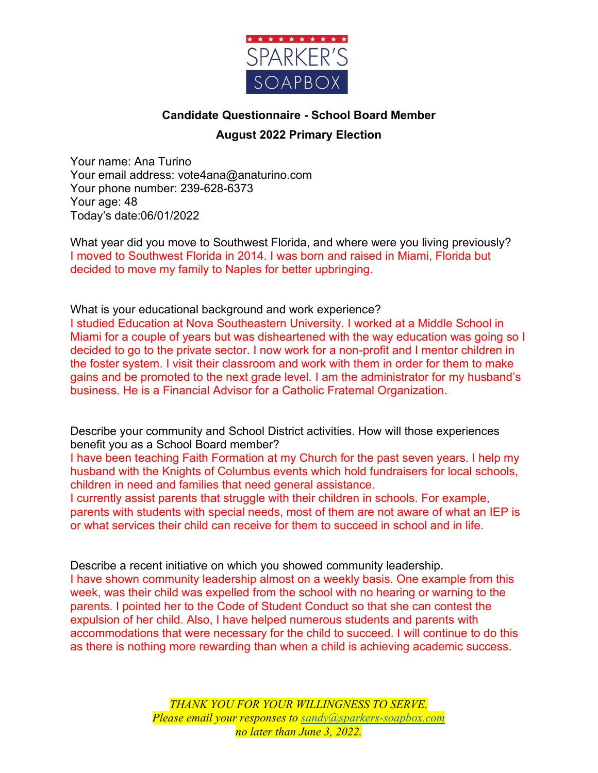

## **Candidate Questionnaire - School Board Member August 2022 Primary Election**

Your name: Ana Turino Your email address: vote4ana@anaturino.com Your phone number: 239-628-6373 Your age: 48 Today's date:06/01/2022

What year did you move to Southwest Florida, and where were you living previously? I moved to Southwest Florida in 2014. I was born and raised in Miami, Florida but decided to move my family to Naples for better upbringing.

What is your educational background and work experience?

I studied Education at Nova Southeastern University. I worked at a Middle School in Miami for a couple of years but was disheartened with the way education was going so I decided to go to the private sector. I now work for a non-profit and I mentor children in the foster system. I visit their classroom and work with them in order for them to make gains and be promoted to the next grade level. I am the administrator for my husband's business. He is a Financial Advisor for a Catholic Fraternal Organization.

Describe your community and School District activities. How will those experiences benefit you as a School Board member?

I have been teaching Faith Formation at my Church for the past seven years. I help my husband with the Knights of Columbus events which hold fundraisers for local schools, children in need and families that need general assistance.

I currently assist parents that struggle with their children in schools. For example, parents with students with special needs, most of them are not aware of what an IEP is or what services their child can receive for them to succeed in school and in life.

Describe a recent initiative on which you showed community leadership.

I have shown community leadership almost on a weekly basis. One example from this week, was their child was expelled from the school with no hearing or warning to the parents. I pointed her to the Code of Student Conduct so that she can contest the expulsion of her child. Also, I have helped numerous students and parents with accommodations that were necessary for the child to succeed. I will continue to do this as there is nothing more rewarding than when a child is achieving academic success.